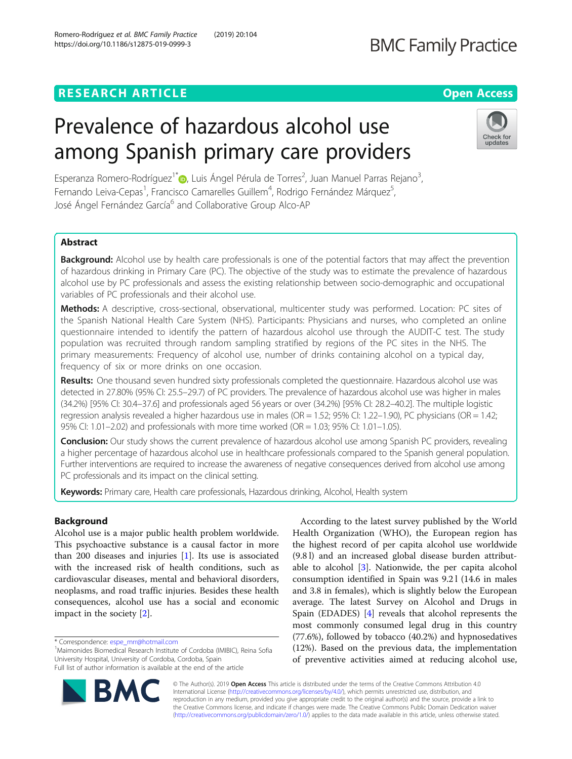# **BMC Family Practice**

# **RESEARCH ARTICLE Example 2018 12:30 THE Open Access**

# Prevalence of hazardous alcohol use among Spanish primary care providers



Esperanza Romero-Rodríguez<sup>1</sup>\*®[,](http://orcid.org/0000-0001-5054-3845) Luis Ángel Pérula de Torres<sup>2</sup>, Juan Manuel Parras Rejano<sup>3</sup> , Fernando Leiva-Cepas<sup>1</sup>, Francisco Camarelles Guillem<sup>4</sup>, Rodrigo Fernández Márquez<sup>5</sup> , José Ángel Fernández García<sup>6</sup> and Collaborative Group Alco-AP

## Abstract

**Background:** Alcohol use by health care professionals is one of the potential factors that may affect the prevention of hazardous drinking in Primary Care (PC). The objective of the study was to estimate the prevalence of hazardous alcohol use by PC professionals and assess the existing relationship between socio-demographic and occupational variables of PC professionals and their alcohol use.

Methods: A descriptive, cross-sectional, observational, multicenter study was performed. Location: PC sites of the Spanish National Health Care System (NHS). Participants: Physicians and nurses, who completed an online questionnaire intended to identify the pattern of hazardous alcohol use through the AUDIT-C test. The study population was recruited through random sampling stratified by regions of the PC sites in the NHS. The primary measurements: Frequency of alcohol use, number of drinks containing alcohol on a typical day, frequency of six or more drinks on one occasion.

Results: One thousand seven hundred sixty professionals completed the questionnaire. Hazardous alcohol use was detected in 27.80% (95% CI: 25.5–29.7) of PC providers. The prevalence of hazardous alcohol use was higher in males (34.2%) [95% CI: 30.4–37.6] and professionals aged 56 years or over (34.2%) [95% CI: 28.2–40.2]. The multiple logistic regression analysis revealed a higher hazardous use in males (OR = 1.52; 95% CI: 1.22–1.90), PC physicians (OR = 1.42; 95% CI: 1.01–2.02) and professionals with more time worked (OR = 1.03; 95% CI: 1.01–1.05).

**Conclusion:** Our study shows the current prevalence of hazardous alcohol use among Spanish PC providers, revealing a higher percentage of hazardous alcohol use in healthcare professionals compared to the Spanish general population. Further interventions are required to increase the awareness of negative consequences derived from alcohol use among PC professionals and its impact on the clinical setting.

Keywords: Primary care, Health care professionals, Hazardous drinking, Alcohol, Health system

## Background

Alcohol use is a major public health problem worldwide. This psychoactive substance is a causal factor in more than 200 diseases and injuries [[1\]](#page-6-0). Its use is associated with the increased risk of health conditions, such as cardiovascular diseases, mental and behavioral disorders, neoplasms, and road traffic injuries. Besides these health consequences, alcohol use has a social and economic impact in the society [\[2](#page-6-0)].

\* Correspondence: [espe\\_mrr@hotmail.com](mailto:espe_mrr@hotmail.com) <sup>1</sup>

<sup>1</sup>Maimonides Biomedical Research Institute of Cordoba (IMIBIC), Reina Sofia University Hospital, University of Cordoba, Cordoba, Spain Full list of author information is available at the end of the article

According to the latest survey published by the World Health Organization (WHO), the European region has the highest record of per capita alcohol use worldwide (9.8 l) and an increased global disease burden attributable to alcohol [\[3\]](#page-6-0). Nationwide, the per capita alcohol consumption identified in Spain was 9.2 l (14.6 in males and 3.8 in females), which is slightly below the European average. The latest Survey on Alcohol and Drugs in Spain (EDADES) [\[4](#page-6-0)] reveals that alcohol represents the most commonly consumed legal drug in this country (77.6%), followed by tobacco (40.2%) and hypnosedatives (12%). Based on the previous data, the implementation of preventive activities aimed at reducing alcohol use,



© The Author(s). 2019 Open Access This article is distributed under the terms of the Creative Commons Attribution 4.0 International License [\(http://creativecommons.org/licenses/by/4.0/](http://creativecommons.org/licenses/by/4.0/)), which permits unrestricted use, distribution, and reproduction in any medium, provided you give appropriate credit to the original author(s) and the source, provide a link to the Creative Commons license, and indicate if changes were made. The Creative Commons Public Domain Dedication waiver [\(http://creativecommons.org/publicdomain/zero/1.0/](http://creativecommons.org/publicdomain/zero/1.0/)) applies to the data made available in this article, unless otherwise stated.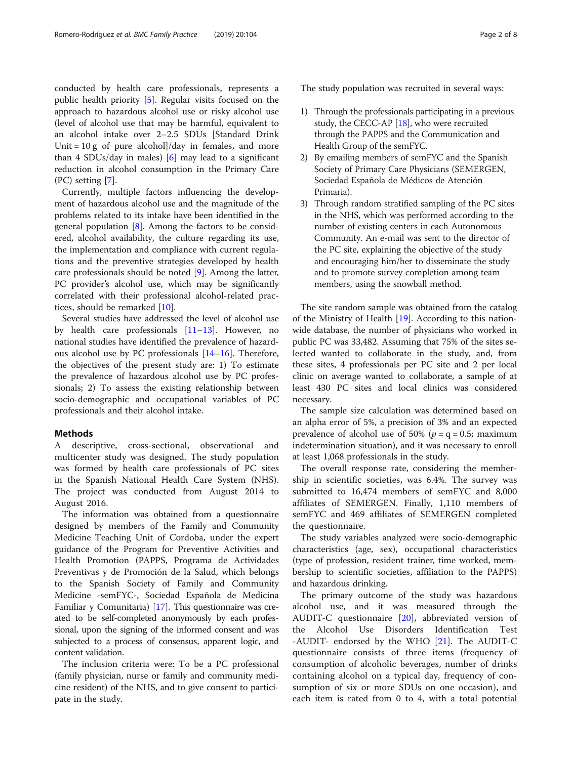conducted by health care professionals, represents a public health priority [\[5](#page-6-0)]. Regular visits focused on the approach to hazardous alcohol use or risky alcohol use (level of alcohol use that may be harmful, equivalent to an alcohol intake over 2–2.5 SDUs [Standard Drink Unit =  $10 g$  of pure alcohol]/day in females, and more than 4 SDUs/day in males)  $[6]$  $[6]$  may lead to a significant reduction in alcohol consumption in the Primary Care (PC) setting [[7\]](#page-6-0).

Currently, multiple factors influencing the development of hazardous alcohol use and the magnitude of the problems related to its intake have been identified in the general population  $[8]$  $[8]$  $[8]$ . Among the factors to be considered, alcohol availability, the culture regarding its use, the implementation and compliance with current regulations and the preventive strategies developed by health care professionals should be noted [[9\]](#page-6-0). Among the latter, PC provider's alcohol use, which may be significantly correlated with their professional alcohol-related practices, should be remarked [[10\]](#page-6-0).

Several studies have addressed the level of alcohol use by health care professionals [\[11](#page-6-0)–[13\]](#page-6-0). However, no national studies have identified the prevalence of hazardous alcohol use by PC professionals [[14](#page-6-0)–[16](#page-6-0)]. Therefore, the objectives of the present study are: 1) To estimate the prevalence of hazardous alcohol use by PC professionals; 2) To assess the existing relationship between socio-demographic and occupational variables of PC professionals and their alcohol intake.

### Methods

A descriptive, cross-sectional, observational and multicenter study was designed. The study population was formed by health care professionals of PC sites in the Spanish National Health Care System (NHS). The project was conducted from August 2014 to August 2016.

The information was obtained from a questionnaire designed by members of the Family and Community Medicine Teaching Unit of Cordoba, under the expert guidance of the Program for Preventive Activities and Health Promotion (PAPPS, Programa de Actividades Preventivas y de Promoción de la Salud, which belongs to the Spanish Society of Family and Community Medicine -semFYC-, Sociedad Española de Medicina Familiar y Comunitaria) [\[17](#page-6-0)]. This questionnaire was created to be self-completed anonymously by each professional, upon the signing of the informed consent and was subjected to a process of consensus, apparent logic, and content validation.

The inclusion criteria were: To be a PC professional (family physician, nurse or family and community medicine resident) of the NHS, and to give consent to participate in the study.

The study population was recruited in several ways:

- 1) Through the professionals participating in a previous study, the CECC-AP [[18\]](#page-6-0), who were recruited through the PAPPS and the Communication and Health Group of the semFYC.
- 2) By emailing members of semFYC and the Spanish Society of Primary Care Physicians (SEMERGEN, Sociedad Española de Médicos de Atención Primaria).
- 3) Through random stratified sampling of the PC sites in the NHS, which was performed according to the number of existing centers in each Autonomous Community. An e-mail was sent to the director of the PC site, explaining the objective of the study and encouraging him/her to disseminate the study and to promote survey completion among team members, using the snowball method.

The site random sample was obtained from the catalog of the Ministry of Health [\[19](#page-6-0)]. According to this nationwide database, the number of physicians who worked in public PC was 33,482. Assuming that 75% of the sites selected wanted to collaborate in the study, and, from these sites, 4 professionals per PC site and 2 per local clinic on average wanted to collaborate, a sample of at least 430 PC sites and local clinics was considered necessary.

The sample size calculation was determined based on an alpha error of 5%, a precision of 3% and an expected prevalence of alcohol use of 50% ( $p = q = 0.5$ ; maximum indetermination situation), and it was necessary to enroll at least 1,068 professionals in the study.

The overall response rate, considering the membership in scientific societies, was 6.4%. The survey was submitted to 16,474 members of semFYC and 8,000 affiliates of SEMERGEN. Finally, 1,110 members of semFYC and 469 affiliates of SEMERGEN completed the questionnaire.

The study variables analyzed were socio-demographic characteristics (age, sex), occupational characteristics (type of profession, resident trainer, time worked, membership to scientific societies, affiliation to the PAPPS) and hazardous drinking.

The primary outcome of the study was hazardous alcohol use, and it was measured through the AUDIT-C questionnaire [\[20](#page-6-0)], abbreviated version of the Alcohol Use Disorders Identification Test -AUDIT- endorsed by the WHO [\[21](#page-6-0)]. The AUDIT-C questionnaire consists of three items (frequency of consumption of alcoholic beverages, number of drinks containing alcohol on a typical day, frequency of consumption of six or more SDUs on one occasion), and each item is rated from 0 to 4, with a total potential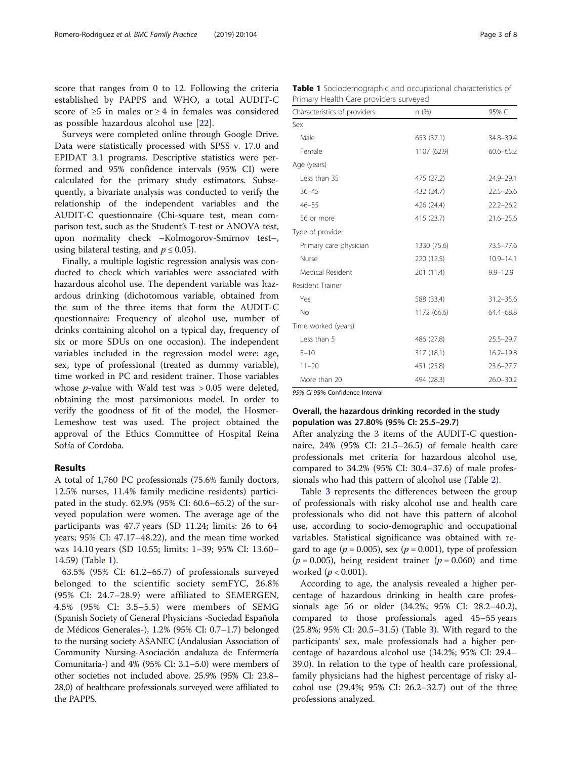score that ranges from 0 to 12. Following the criteria established by PAPPS and WHO, a total AUDIT-C score of ≥5 in males or ≥ 4 in females was considered as possible hazardous alcohol use [[22\]](#page-6-0).

Surveys were completed online through Google Drive. Data were statistically processed with SPSS v. 17.0 and EPIDAT 3.1 programs. Descriptive statistics were performed and 95% confidence intervals (95% CI) were calculated for the primary study estimators. Subsequently, a bivariate analysis was conducted to verify the relationship of the independent variables and the AUDIT-C questionnaire (Chi-square test, mean comparison test, such as the Student's T-test or ANOVA test, upon normality check –Kolmogorov-Smirnov test–, using bilateral testing, and  $p \leq 0.05$ ).

Finally, a multiple logistic regression analysis was conducted to check which variables were associated with hazardous alcohol use. The dependent variable was hazardous drinking (dichotomous variable, obtained from the sum of the three items that form the AUDIT-C questionnaire: Frequency of alcohol use, number of drinks containing alcohol on a typical day, frequency of six or more SDUs on one occasion). The independent variables included in the regression model were: age, sex, type of professional (treated as dummy variable), time worked in PC and resident trainer. Those variables whose p-value with Wald test was > 0.05 were deleted, obtaining the most parsimonious model. In order to verify the goodness of fit of the model, the Hosmer-Lemeshow test was used. The project obtained the approval of the Ethics Committee of Hospital Reina Sofía of Cordoba.

#### Results

A total of 1,760 PC professionals (75.6% family doctors, 12.5% nurses, 11.4% family medicine residents) participated in the study. 62.9% (95% CI: 60.6–65.2) of the surveyed population were women. The average age of the participants was 47.7 years (SD 11.24; limits: 26 to 64 years; 95% CI: 47.17–48.22), and the mean time worked was 14.10 years (SD 10.55; limits: 1–39; 95% CI: 13.60– 14.59) (Table 1).

63.5% (95% CI: 61.2–65.7) of professionals surveyed belonged to the scientific society semFYC, 26.8% (95% CI: 24.7–28.9) were affiliated to SEMERGEN, 4.5% (95% CI: 3.5–5.5) were members of SEMG (Spanish Society of General Physicians -Sociedad Española de Médicos Generales-), 1.2% (95% CI: 0.7–1.7) belonged to the nursing society ASANEC (Andalusian Association of Community Nursing-Asociación andaluza de Enfermería Comunitaria-) and 4% (95% CI: 3.1–5.0) were members of other societies not included above. 25.9% (95% CI: 23.8– 28.0) of healthcare professionals surveyed were affiliated to the PAPPS.

Table 1 Sociodemographic and occupational characteristics of Primary Health Care providers surveyed

| Characteristics of providers | n (%)       | 95% CI        |
|------------------------------|-------------|---------------|
| Sex                          |             |               |
| Male                         | 653 (37.1)  | 34.8-39.4     |
| Female                       | 1107 (62.9) | $60.6 - 65.2$ |
| Age (years)                  |             |               |
| Less than 35                 | 475 (27.2)  | $24.9 - 29.1$ |
| $36 - 45$                    | 432 (24.7)  | $22.5 - 26.6$ |
| $46 - 55$                    | 426 (24.4)  | $22.2 - 26.2$ |
| 56 or more                   | 415 (23.7)  | $21.6 - 25.6$ |
| Type of provider             |             |               |
| Primary care physician       | 1330 (75.6) | 73.5-77.6     |
| Nurse                        | 220 (12.5)  | $10.9 - 14.1$ |
| Medical Resident             | 201 (11.4)  | $9.9 - 12.9$  |
| Resident Trainer             |             |               |
| Yes                          | 588 (33.4)  | $31.2 - 35.6$ |
| <b>No</b>                    | 1172 (66.6) | 64.4-68.8     |
| Time worked (years)          |             |               |
| Less than 5                  | 486 (27.8)  | $25.5 - 29.7$ |
| $5 - 10$                     | 317 (18.1)  | $16.2 - 19.8$ |
| $11 - 20$                    | 451 (25.8)  | $23.6 - 27.7$ |
| More than 20                 | 494 (28.3)  | $26.0 - 30.2$ |

95% CI 95% Confidence Interval

#### Overall, the hazardous drinking recorded in the study population was 27.80% (95% CI: 25.5–29.7)

After analyzing the 3 items of the AUDIT-C questionnaire, 24% (95% CI: 21.5–26.5) of female health care professionals met criteria for hazardous alcohol use, compared to 34.2% (95% CI: 30.4–37.6) of male professionals who had this pattern of alcohol use (Table [2](#page-3-0)).

Table [3](#page-3-0) represents the differences between the group of professionals with risky alcohol use and health care professionals who did not have this pattern of alcohol use, according to socio-demographic and occupational variables. Statistical significance was obtained with regard to age ( $p = 0.005$ ), sex ( $p = 0.001$ ), type of profession  $(p = 0.005)$ , being resident trainer  $(p = 0.060)$  and time worked  $(p < 0.001)$ .

According to age, the analysis revealed a higher percentage of hazardous drinking in health care professionals age 56 or older (34.2%; 95% CI: 28.2–40.2), compared to those professionals aged 45–55 years (25.8%; 95% CI: 20.5–31.5) (Table [3\)](#page-3-0). With regard to the participants' sex, male professionals had a higher percentage of hazardous alcohol use (34.2%; 95% CI: 29.4– 39.0). In relation to the type of health care professional, family physicians had the highest percentage of risky alcohol use (29.4%; 95% CI: 26.2–32.7) out of the three professions analyzed.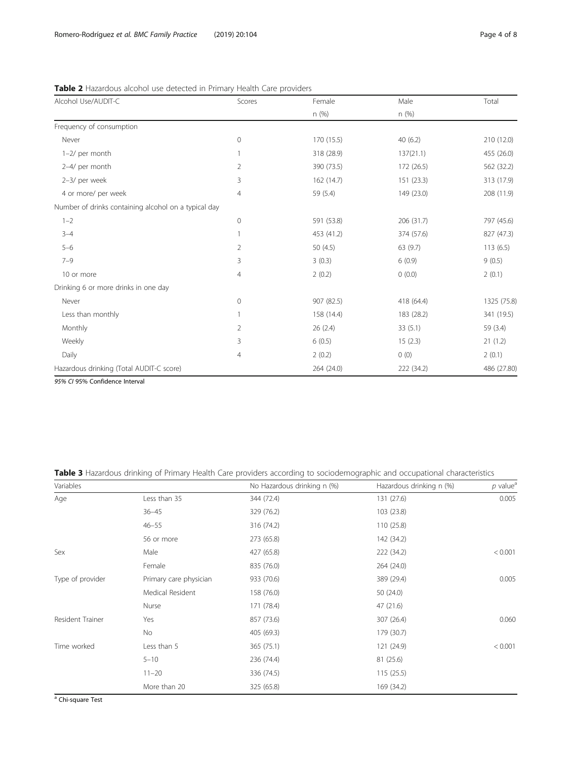| Alcohol Use/AUDIT-C                                  | Scores       | Female     | Male       | Total       |
|------------------------------------------------------|--------------|------------|------------|-------------|
|                                                      |              | n(%)       | n (%)      |             |
| Frequency of consumption                             |              |            |            |             |
| Never                                                | $\mathbf 0$  | 170 (15.5) | 40(6.2)    | 210 (12.0)  |
| 1-2/ per month                                       |              | 318 (28.9) | 137(21.1)  | 455 (26.0)  |
| 2-4/ per month                                       | 2            | 390 (73.5) | 172 (26.5) | 562 (32.2)  |
| 2-3/ per week                                        | 3            | 162 (14.7) | 151 (23.3) | 313 (17.9)  |
| 4 or more/ per week                                  | 4            | 59 (5.4)   | 149 (23.0) | 208 (11.9)  |
| Number of drinks containing alcohol on a typical day |              |            |            |             |
| $1 - 2$                                              | $\mathbf{0}$ | 591 (53.8) | 206 (31.7) | 797 (45.6)  |
| $3 - 4$                                              |              | 453 (41.2) | 374 (57.6) | 827 (47.3)  |
| $5 - 6$                                              | 2            | 50 $(4.5)$ | 63 (9.7)   | 113(6.5)    |
| $7 - 9$                                              | 3            | 3(0.3)     | 6(0.9)     | 9(0.5)      |
| 10 or more                                           | 4            | 2(0.2)     | 0(0.0)     | 2(0.1)      |
| Drinking 6 or more drinks in one day                 |              |            |            |             |
| Never                                                | $\circ$      | 907 (82.5) | 418 (64.4) | 1325 (75.8) |
| Less than monthly                                    |              | 158 (14.4) | 183 (28.2) | 341 (19.5)  |
| Monthly                                              | 2            | 26 (2.4)   | 33(5.1)    | 59 (3.4)    |
| Weekly                                               | 3            | 6(0.5)     | 15(2.3)    | 21(1.2)     |
| Daily                                                | 4            | 2(0.2)     | 0(0)       | 2(0.1)      |
| Hazardous drinking (Total AUDIT-C score)             |              | 264 (24.0) | 222 (34.2) | 486 (27.80) |

<span id="page-3-0"></span>Table 2 Hazardous alcohol use detected in Primary Health Care providers

95% CI 95% Confidence Interval

Table 3 Hazardous drinking of Primary Health Care providers according to sociodemographic and occupational characteristics

| Variables        |                        | No Hazardous drinking n (%) | Hazardous drinking n (%) | $p$ value <sup>a</sup> |
|------------------|------------------------|-----------------------------|--------------------------|------------------------|
| Age              | Less than 35           | 344 (72.4)                  | 131 (27.6)               | 0.005                  |
|                  | $36 - 45$              | 329 (76.2)                  | 103 (23.8)               |                        |
|                  | $46 - 55$              | 316 (74.2)                  | 110 (25.8)               |                        |
|                  | 56 or more             | 273 (65.8)                  | 142 (34.2)               |                        |
| Sex              | Male                   | 427 (65.8)                  | 222 (34.2)               | < 0.001                |
|                  | Female                 | 835 (76.0)                  | 264 (24.0)               |                        |
| Type of provider | Primary care physician | 933 (70.6)                  | 389 (29.4)               | 0.005                  |
|                  | Medical Resident       | 158 (76.0)                  | 50 $(24.0)$              |                        |
|                  | Nurse                  | 171 (78.4)                  | 47 (21.6)                |                        |
| Resident Trainer | Yes                    | 857 (73.6)                  | 307 (26.4)               | 0.060                  |
|                  | <b>No</b>              | 405 (69.3)                  | 179 (30.7)               |                        |
| Time worked      | Less than 5            | 365 (75.1)                  | 121 (24.9)               | < 0.001                |
|                  | $5 - 10$               | 236 (74.4)                  | 81 (25.6)                |                        |
|                  | $11 - 20$              | 336 (74.5)                  | 115(25.5)                |                        |
|                  | More than 20           | 325 (65.8)                  | 169 (34.2)               |                        |

<sup>a</sup> Chi-square Test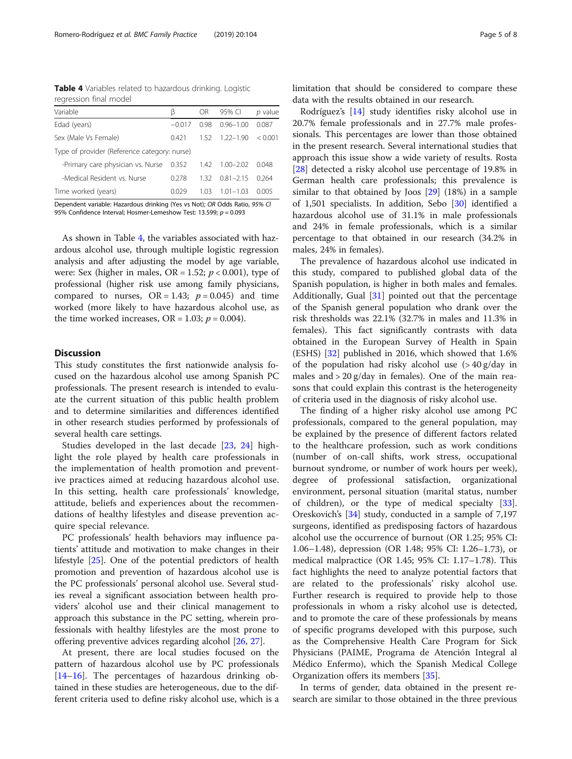Table 4 Variables related to hazardous drinking. Logistic regression final model

| Variable                                                            | ß        | OR   | 95% CI        | $p$ value |  |
|---------------------------------------------------------------------|----------|------|---------------|-----------|--|
| Edad (years)                                                        | $-0.017$ | O 98 | $0.96 - 1.00$ | 0.087     |  |
| Sex (Male Vs Female)                                                | 0421     | 1.52 | $1.22 - 1.90$ | < 0.001   |  |
| Type of provider (Reference category: nurse)                        |          |      |               |           |  |
| -Primary care physician vs. Nurse 0.352                             |          | 1.42 | $1.00 - 2.02$ | 0048      |  |
| -Medical Resident vs. Nurse                                         | 0.278    | 132  | 081-215       | 0.264     |  |
| Time worked (years)                                                 | 0.029    | 1.03 | $1.01 - 1.03$ | 0.005     |  |
| Denondert indebte Heroden ddelder Was in Nath OD Odde Datis, OEN CL |          |      |               |           |  |

Dependent variable: Hazardous drinking (Yes vs Not); OR Odds Ratio, 95% CI 95% Confidence Interval; Hosmer-Lemeshow Test: 13.599; p = 0.093

As shown in Table 4, the variables associated with hazardous alcohol use, through multiple logistic regression analysis and after adjusting the model by age variable, were: Sex (higher in males, OR = 1.52;  $p < 0.001$ ), type of professional (higher risk use among family physicians, compared to nurses,  $OR = 1.43$ ;  $p = 0.045$  and time worked (more likely to have hazardous alcohol use, as the time worked increases,  $OR = 1.03$ ;  $p = 0.004$ ).

#### **Discussion**

This study constitutes the first nationwide analysis focused on the hazardous alcohol use among Spanish PC professionals. The present research is intended to evaluate the current situation of this public health problem and to determine similarities and differences identified in other research studies performed by professionals of several health care settings.

Studies developed in the last decade [\[23](#page-6-0), [24\]](#page-6-0) highlight the role played by health care professionals in the implementation of health promotion and preventive practices aimed at reducing hazardous alcohol use. In this setting, health care professionals' knowledge, attitude, beliefs and experiences about the recommendations of healthy lifestyles and disease prevention acquire special relevance.

PC professionals' health behaviors may influence patients' attitude and motivation to make changes in their lifestyle [[25\]](#page-6-0). One of the potential predictors of health promotion and prevention of hazardous alcohol use is the PC professionals' personal alcohol use. Several studies reveal a significant association between health providers' alcohol use and their clinical management to approach this substance in the PC setting, wherein professionals with healthy lifestyles are the most prone to offering preventive advices regarding alcohol [[26,](#page-6-0) [27\]](#page-6-0).

At present, there are local studies focused on the pattern of hazardous alcohol use by PC professionals [[14](#page-6-0)–[16](#page-6-0)]. The percentages of hazardous drinking obtained in these studies are heterogeneous, due to the different criteria used to define risky alcohol use, which is a limitation that should be considered to compare these data with the results obtained in our research.

Rodríguez's [\[14](#page-6-0)] study identifies risky alcohol use in 20.7% female professionals and in 27.7% male professionals. This percentages are lower than those obtained in the present research. Several international studies that approach this issue show a wide variety of results. Rosta [[28\]](#page-6-0) detected a risky alcohol use percentage of 19.8% in German health care professionals; this prevalence is similar to that obtained by Joos [[29\]](#page-6-0) (18%) in a sample of 1,501 specialists. In addition, Sebo [\[30](#page-6-0)] identified a hazardous alcohol use of 31.1% in male professionals and 24% in female professionals, which is a similar percentage to that obtained in our research (34.2% in males, 24% in females).

The prevalence of hazardous alcohol use indicated in this study, compared to published global data of the Spanish population, is higher in both males and females. Additionally, Gual  $[31]$  $[31]$  pointed out that the percentage of the Spanish general population who drank over the risk thresholds was 22.1% (32.7% in males and 11.3% in females). This fact significantly contrasts with data obtained in the European Survey of Health in Spain (ESHS) [\[32\]](#page-7-0) published in 2016, which showed that 1.6% of the population had risky alcohol use (> 40 g/day in males and  $> 20$  g/day in females). One of the main reasons that could explain this contrast is the heterogeneity of criteria used in the diagnosis of risky alcohol use.

The finding of a higher risky alcohol use among PC professionals, compared to the general population, may be explained by the presence of different factors related to the healthcare profession, such as work conditions (number of on-call shifts, work stress, occupational burnout syndrome, or number of work hours per week), degree of professional satisfaction, organizational environment, personal situation (marital status, number of children), or the type of medical specialty [\[33](#page-7-0)]. Oreskovich's [[34](#page-7-0)] study, conducted in a sample of 7,197 surgeons, identified as predisposing factors of hazardous alcohol use the occurrence of burnout (OR 1.25; 95% CI: 1.06–1.48), depression (OR 1.48; 95% CI: 1.26–1.73), or medical malpractice (OR 1.45; 95% CI: 1.17–1.78). This fact highlights the need to analyze potential factors that are related to the professionals' risky alcohol use. Further research is required to provide help to those professionals in whom a risky alcohol use is detected, and to promote the care of these professionals by means of specific programs developed with this purpose, such as the Comprehensive Health Care Program for Sick Physicians (PAIME, Programa de Atención Integral al Médico Enfermo), which the Spanish Medical College Organization offers its members [\[35\]](#page-7-0).

In terms of gender, data obtained in the present research are similar to those obtained in the three previous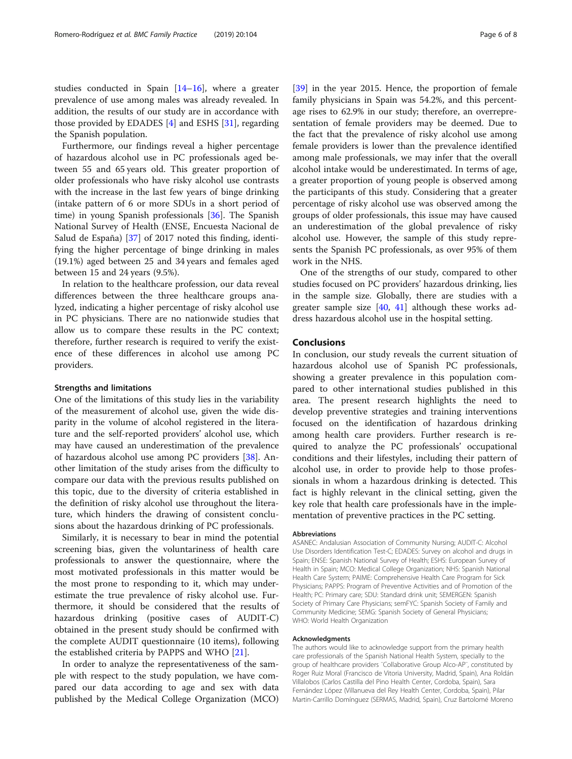studies conducted in Spain [[14](#page-6-0)–[16](#page-6-0)], where a greater prevalence of use among males was already revealed. In addition, the results of our study are in accordance with those provided by EDADES [[4\]](#page-6-0) and ESHS [[31\]](#page-6-0), regarding the Spanish population.

Furthermore, our findings reveal a higher percentage of hazardous alcohol use in PC professionals aged between 55 and 65 years old. This greater proportion of older professionals who have risky alcohol use contrasts with the increase in the last few years of binge drinking (intake pattern of 6 or more SDUs in a short period of time) in young Spanish professionals [\[36](#page-7-0)]. The Spanish National Survey of Health (ENSE, Encuesta Nacional de Salud de España) [[37\]](#page-7-0) of 2017 noted this finding, identifying the higher percentage of binge drinking in males (19.1%) aged between 25 and 34 years and females aged between 15 and 24 years (9.5%).

In relation to the healthcare profession, our data reveal differences between the three healthcare groups analyzed, indicating a higher percentage of risky alcohol use in PC physicians. There are no nationwide studies that allow us to compare these results in the PC context; therefore, further research is required to verify the existence of these differences in alcohol use among PC providers.

#### Strengths and limitations

One of the limitations of this study lies in the variability of the measurement of alcohol use, given the wide disparity in the volume of alcohol registered in the literature and the self-reported providers' alcohol use, which may have caused an underestimation of the prevalence of hazardous alcohol use among PC providers [[38\]](#page-7-0). Another limitation of the study arises from the difficulty to compare our data with the previous results published on this topic, due to the diversity of criteria established in the definition of risky alcohol use throughout the literature, which hinders the drawing of consistent conclusions about the hazardous drinking of PC professionals.

Similarly, it is necessary to bear in mind the potential screening bias, given the voluntariness of health care professionals to answer the questionnaire, where the most motivated professionals in this matter would be the most prone to responding to it, which may underestimate the true prevalence of risky alcohol use. Furthermore, it should be considered that the results of hazardous drinking (positive cases of AUDIT-C) obtained in the present study should be confirmed with the complete AUDIT questionnaire (10 items), following the established criteria by PAPPS and WHO [[21](#page-6-0)].

In order to analyze the representativeness of the sample with respect to the study population, we have compared our data according to age and sex with data published by the Medical College Organization (MCO)

[[39\]](#page-7-0) in the year 2015. Hence, the proportion of female family physicians in Spain was 54.2%, and this percentage rises to 62.9% in our study; therefore, an overrepresentation of female providers may be deemed. Due to the fact that the prevalence of risky alcohol use among female providers is lower than the prevalence identified among male professionals, we may infer that the overall alcohol intake would be underestimated. In terms of age, a greater proportion of young people is observed among the participants of this study. Considering that a greater percentage of risky alcohol use was observed among the groups of older professionals, this issue may have caused an underestimation of the global prevalence of risky alcohol use. However, the sample of this study represents the Spanish PC professionals, as over 95% of them work in the NHS.

One of the strengths of our study, compared to other studies focused on PC providers' hazardous drinking, lies in the sample size. Globally, there are studies with a greater sample size [[40](#page-7-0), [41](#page-7-0)] although these works address hazardous alcohol use in the hospital setting.

#### Conclusions

In conclusion, our study reveals the current situation of hazardous alcohol use of Spanish PC professionals, showing a greater prevalence in this population compared to other international studies published in this area. The present research highlights the need to develop preventive strategies and training interventions focused on the identification of hazardous drinking among health care providers. Further research is required to analyze the PC professionals' occupational conditions and their lifestyles, including their pattern of alcohol use, in order to provide help to those professionals in whom a hazardous drinking is detected. This fact is highly relevant in the clinical setting, given the key role that health care professionals have in the implementation of preventive practices in the PC setting.

#### Abbreviations

ASANEC: Andalusian Association of Community Nursing; AUDIT-C: Alcohol Use Disorders Identification Test-C; EDADES: Survey on alcohol and drugs in Spain; ENSE: Spanish National Survey of Health; ESHS: European Survey of Health in Spain; MCO: Medical College Organization; NHS: Spanish National Health Care System; PAIME: Comprehensive Health Care Program for Sick Physicians; PAPPS: Program of Preventive Activities and of Promotion of the Health; PC: Primary care; SDU: Standard drink unit; SEMERGEN: Spanish Society of Primary Care Physicians; semFYC: Spanish Society of Family and Community Medicine; SEMG: Spanish Society of General Physicians; WHO: World Health Organization

#### Acknowledgments

The authors would like to acknowledge support from the primary health care professionals of the Spanish National Health System, specially to the group of healthcare providers ¨Collaborative Group Alco-AP¨, constituted by Roger Ruiz Moral (Francisco de Vitoria University, Madrid, Spain), Ana Roldán Villalobos (Carlos Castilla del Pino Health Center, Cordoba, Spain), Sara Fernández López (Villanueva del Rey Health Center, Cordoba, Spain), Pilar Martin-Carrillo Domínguez (SERMAS, Madrid, Spain), Cruz Bartolomé Moreno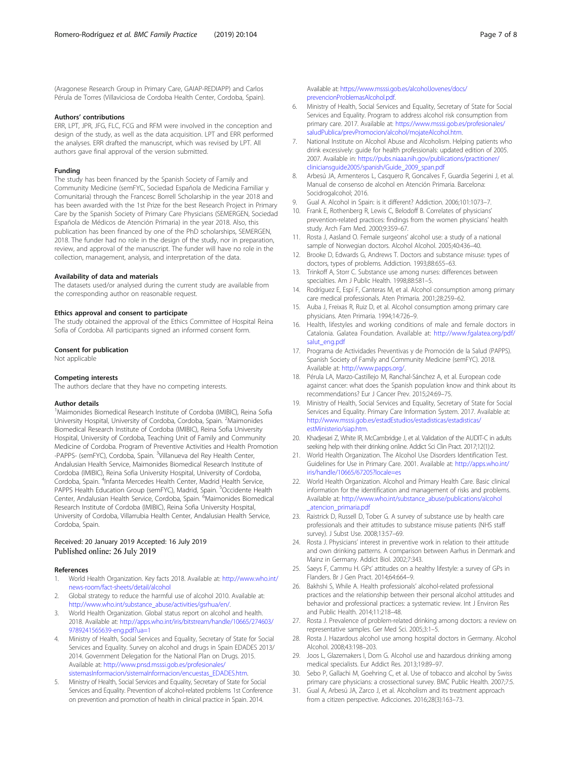<span id="page-6-0"></span>(Aragonese Research Group in Primary Care, GAIAP-REDIAPP) and Carlos Pérula de Torres (Villaviciosa de Cordoba Health Center, Cordoba, Spain).

#### Authors' contributions

ERR, LPT, JPR, JFG, FLC, FCG and RFM were involved in the conception and design of the study, as well as the data acquisition. LPT and ERR performed the analyses. ERR drafted the manuscript, which was revised by LPT. All authors gave final approval of the version submitted.

#### Funding

The study has been financed by the Spanish Society of Family and Community Medicine (semFYC, Sociedad Española de Medicina Familiar y Comunitaria) through the Francesc Borrell Scholarship in the year 2018 and has been awarded with the 1st Prize for the best Research Project in Primary Care by the Spanish Society of Primary Care Physicians (SEMERGEN, Sociedad Española de Médicos de Atención Primaria) in the year 2018. Also, this publication has been financed by one of the PhD scholarships, SEMERGEN, 2018. The funder had no role in the design of the study, nor in preparation, review, and approval of the manuscript. The funder will have no role in the collection, management, analysis, and interpretation of the data.

#### Availability of data and materials

The datasets used/or analysed during the current study are available from the corresponding author on reasonable request.

#### Ethics approval and consent to participate

The study obtained the approval of the Ethics Committee of Hospital Reina Sofía of Cordoba. All participants signed an informed consent form.

#### Consent for publication

Not applicable

#### Competing interests

The authors declare that they have no competing interests.

#### Author details

<sup>1</sup>Maimonides Biomedical Research Institute of Cordoba (IMIBIC), Reina Sofia University Hospital, University of Cordoba, Cordoba, Spain. <sup>2</sup>Maimonides Biomedical Research Institute of Cordoba (IMIBIC), Reina Sofia University Hospital, University of Cordoba, Teaching Unit of Family and Community Medicine of Cordoba. Program of Preventive Activities and Health Promotion -PAPPS- (semFYC), Cordoba, Spain. <sup>3</sup>Villanueva del Rey Health Center, Andalusian Health Service, Maimonides Biomedical Research Institute of Cordoba (IMIBIC), Reina Sofia University Hospital, University of Cordoba, Cordoba, Spain. <sup>4</sup>Infanta Mercedes Health Center, Madrid Health Service, PAPPS Health Education Group (semFYC), Madrid, Spain. <sup>5</sup>Occidente Health Center, Andalusian Health Service, Cordoba, Spain. <sup>6</sup>Maimonides Biomedical Research Institute of Cordoba (IMIBIC), Reina Sofia University Hospital, University of Cordoba, Villarrubia Health Center, Andalusian Health Service, Cordoba, Spain.

#### Received: 20 January 2019 Accepted: 16 July 2019 Published online: 26 July 2019

#### References

- 1. World Health Organization. Key facts 2018. Available at: [http://www.who.int/](http://www.who.int/news-room/fact-sheets/detail/alcohol) [news-room/fact-sheets/detail/alcohol](http://www.who.int/news-room/fact-sheets/detail/alcohol)
- 2. Global strategy to reduce the harmful use of alcohol 2010. Available at: [http://www.who.int/substance\\_abuse/activities/gsrhua/en/](http://www.who.int/substance_abuse/activities/gsrhua/en/).
- 3. World Health Organization. Global status report on alcohol and health. 2018. Available at: [http://apps.who.int/iris/bitstream/handle/10665/274603/](http://apps.who.int/iris/bitstream/handle/10665/274603/9789241565639-eng.pdf?ua=1) [9789241565639-eng.pdf?ua=1](http://apps.who.int/iris/bitstream/handle/10665/274603/9789241565639-eng.pdf?ua=1)
- 4. Ministry of Health, Social Services and Equality, Secretary of State for Social Services and Equality. Survey on alcohol and drugs in Spain EDADES 2013/ 2014. Government Delegation for the National Plan on Drugs. 2015. Available at: [http://www.pnsd.msssi.gob.es/profesionales/](http://www.pnsd.msssi.gob.es/profesionales/sistemasInformacion/sistemaInformacion/encuestas_EDADES.htm) [sistemasInformacion/sistemaInformacion/encuestas\\_EDADES.htm](http://www.pnsd.msssi.gob.es/profesionales/sistemasInformacion/sistemaInformacion/encuestas_EDADES.htm).
- 5. Ministry of Health, Social Services and Equality, Secretary of State for Social Services and Equality. Prevention of alcohol-related problems 1st Conference on prevention and promotion of health in clinical practice in Spain. 2014.

Available at: [https://www.msssi.gob.es/alcoholJovenes/docs/](https://www.msssi.gob.es/alcoholJovenes/docs/prevencionProblemasAlcohol.pdf) [prevencionProblemasAlcohol.pdf](https://www.msssi.gob.es/alcoholJovenes/docs/prevencionProblemasAlcohol.pdf).

- 6. Ministry of Health, Social Services and Equality, Secretary of State for Social Services and Equality. Program to address alcohol risk consumption from primary care. 2017. Available at: [https://www.msssi.gob.es/profesionales/](https://www.msssi.gob.es/profesionales/saludPublica/prevPromocion/alcohol/mojateAlcohol.htm) saludPublica/prevPromocion/alcohol/mojateAlcohol.htm
- 7. National Institute on Alcohol Abuse and Alcoholism. Helping patients who drink excessively: guide for health professionals: updated edition of 2005. 2007. Available in: [https://pubs.niaaa.nih.gov/publications/practitioner/](https://pubs.niaaa.nih.gov/publications/practitioner/cliniciansguide2005/spanish/Guide_2009_span.pdf) [cliniciansguide2005/spanish/Guide\\_2009\\_span.pdf](https://pubs.niaaa.nih.gov/publications/practitioner/cliniciansguide2005/spanish/Guide_2009_span.pdf)
- 8. Arbesú JA, Armenteros L, Casquero R, Goncalves F, Guardia Segerini J, et al. Manual de consenso de alcohol en Atención Primaria. Barcelona: Socidrogalcohol; 2016.
- 9. Gual A. Alcohol in Spain: is it different? Addiction. 2006;101:1073-7.
- 10. Frank E, Rothenberg R, Lewis C, Belodoff B. Correlates of physicians' prevention-related practices: findings from the women physicians' health study. Arch Fam Med. 2000;9:359–67.
- 11. Rosta J, Aasland O. Female surgeons' alcohol use: a study of a national sample of Norwegian doctors. Alcohol Alcohol. 2005;40:436–40.
- 12. Brooke D, Edwards G, Andrews T. Doctors and substance misuse: types of doctors, types of problems. Addiction. 1993;88:655–63.
- 13. Trinkoff A, Storr C. Substance use among nurses: differences between specialties. Am J Public Health. 1998;88:581-5.
- 14. Rodríguez E, Espí F, Canteras M, et al. Alcohol consumption among primary care medical professionals. Aten Primaria. 2001;28:259–62.
- 15. Auba J, Freixas R, Ruiz D, et al. Alcohol consumption among primary care physicians. Aten Primaria. 1994;14:726–9.
- 16. Health, lifestyles and working conditions of male and female doctors in Catalonia. Galatea Foundation. Available at: [http://www.fgalatea.org/pdf/](http://www.fgalatea.org/pdf/salut_eng.pdf) [salut\\_eng.pdf](http://www.fgalatea.org/pdf/salut_eng.pdf)
- 17. Programa de Actividades Preventivas y de Promoción de la Salud (PAPPS). Spanish Society of Family and Community Medicine (semFYC). 2018. Available at: <http://www.papps.org/>.
- 18. Pérula LA, Marzo-Castillejo M, Ranchal-Sánchez A, et al. European code against cancer: what does the Spanish population know and think about its recommendations? Eur J Cancer Prev. 2015;24:69–75.
- 19. Ministry of Health, Social Services and Equality, Secretary of State for Social Services and Equality. Primary Care Information System. 2017. Available at: [http://www.msssi.gob.es/estadEstudios/estadisticas/estadisticas/](http://www.msssi.gob.es/estadEstudios/estadisticas/estadisticas/estMinisterio/siap.htm) [estMinisterio/siap.htm](http://www.msssi.gob.es/estadEstudios/estadisticas/estadisticas/estMinisterio/siap.htm).
- 20. Khadjesari Z, White IR, McCambridge J, et al. Validation of the AUDIT-C in adults seeking help with their drinking online. Addict Sci Clin Pract. 2017;12(1):2.
- 21. World Health Organization. The Alcohol Use Disorders Identification Test. Guidelines for Use in Primary Care. 2001. Available at: [http://apps.who.int/](http://apps.who.int/iris/handle/10665/67205?locale=es) [iris/handle/10665/67205?locale=es](http://apps.who.int/iris/handle/10665/67205?locale=es)
- 22. World Health Organization. Alcohol and Primary Health Care. Basic clinical information for the identification and management of risks and problems. Available at: [http://www.who.int/substance\\_abuse/publications/alcohol](http://www.who.int/substance_abuse/publications/alcohol_atencion_primaria.pdf) [\\_atencion\\_primaria.pdf](http://www.who.int/substance_abuse/publications/alcohol_atencion_primaria.pdf)
- 23. Raistrick D, Russell D, Tober G. A survey of substance use by health care professionals and their attitudes to substance misuse patients (NHS staff survey). J Subst Use. 2008;13:57–69.
- 24. Rosta J. Physicians' interest in preventive work in relation to their attitude and own drinking patterns. A comparison between Aarhus in Denmark and Mainz in Germany. Addict Biol. 2002;7:343.
- 25. Saeys F, Cammu H. GPs' attitudes on a healthy lifestyle: a survey of GPs in Flanders. Br J Gen Pract. 2014;64:664–9.
- 26. Bakhshi S, While A. Health professionals' alcohol-related professional practices and the relationship between their personal alcohol attitudes and behavior and professional practices: a systematic review. Int J Environ Res and Public Health. 2014;11:218–48.
- 27. Rosta J. Prevalence of problem-related drinking among doctors: a review on representative samples. Ger Med Sci. 2005;3:1–5.
- 28. Rosta J. Hazardous alcohol use among hospital doctors in Germany. Alcohol Alcohol. 2008;43:198–203.
- 29. Joos L, Glazemakers I, Dom G. Alcohol use and hazardous drinking among medical specialists. Eur Addict Res. 2013;19:89–97.
- 30. Sebo P, Gallachi M, Goehring C, et al. Use of tobacco and alcohol by Swiss primary care physicians: a crossectional survey. BMC Public Health. 2007;7:5.
- 31. Gual A, Arbesú JA, Zarco J, et al. Alcoholism and its treatment approach from a citizen perspective. Adicciones. 2016;28(3):163–73.